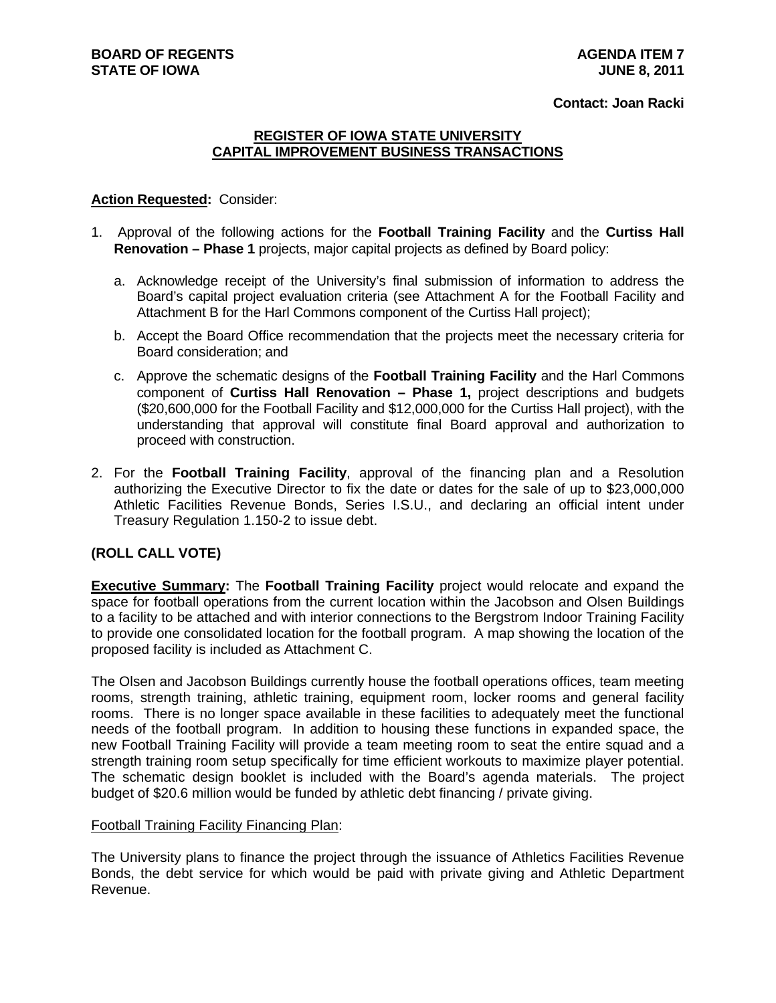#### **Contact: Joan Racki**

## **REGISTER OF IOWA STATE UNIVERSITY CAPITAL IMPROVEMENT BUSINESS TRANSACTIONS**

#### **Action Requested:** Consider:

- 1. Approval of the following actions for the **Football Training Facility** and the **Curtiss Hall Renovation – Phase 1** projects, major capital projects as defined by Board policy:
	- a. Acknowledge receipt of the University's final submission of information to address the Board's capital project evaluation criteria (see Attachment A for the Football Facility and Attachment B for the Harl Commons component of the Curtiss Hall project);
	- b. Accept the Board Office recommendation that the projects meet the necessary criteria for Board consideration; and
	- c. Approve the schematic designs of the **Football Training Facility** and the Harl Commons component of **Curtiss Hall Renovation – Phase 1,** project descriptions and budgets (\$20,600,000 for the Football Facility and \$12,000,000 for the Curtiss Hall project), with the understanding that approval will constitute final Board approval and authorization to proceed with construction.
- 2. For the **Football Training Facility**, approval of the financing plan and a Resolution authorizing the Executive Director to fix the date or dates for the sale of up to \$23,000,000 Athletic Facilities Revenue Bonds, Series I.S.U., and declaring an official intent under Treasury Regulation 1.150-2 to issue debt.

## **(ROLL CALL VOTE)**

**Executive Summary:** The **Football Training Facility** project would relocate and expand the space for football operations from the current location within the Jacobson and Olsen Buildings to a facility to be attached and with interior connections to the Bergstrom Indoor Training Facility to provide one consolidated location for the football program. A map showing the location of the proposed facility is included as Attachment C.

The Olsen and Jacobson Buildings currently house the football operations offices, team meeting rooms, strength training, athletic training, equipment room, locker rooms and general facility rooms. There is no longer space available in these facilities to adequately meet the functional needs of the football program. In addition to housing these functions in expanded space, the new Football Training Facility will provide a team meeting room to seat the entire squad and a strength training room setup specifically for time efficient workouts to maximize player potential. The schematic design booklet is included with the Board's agenda materials. The project budget of \$20.6 million would be funded by athletic debt financing / private giving.

#### Football Training Facility Financing Plan:

The University plans to finance the project through the issuance of Athletics Facilities Revenue Bonds, the debt service for which would be paid with private giving and Athletic Department Revenue.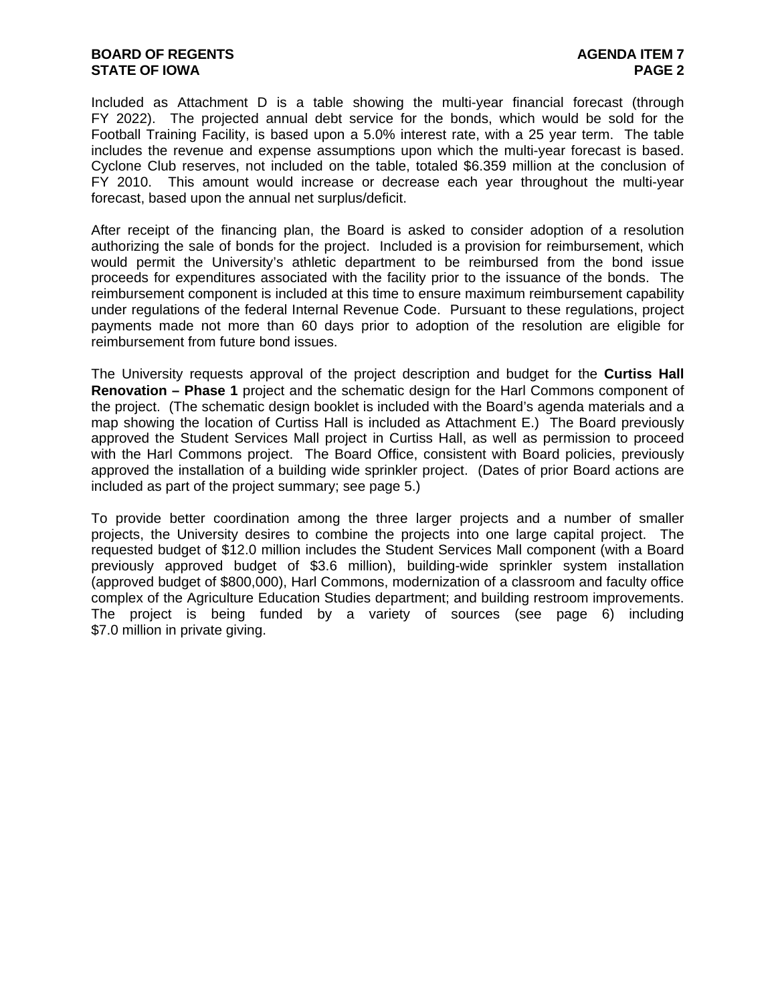#### **BOARD OF REGENTS AGENTS AGENERATION CONSUMING AGENDA ITEM 7 STATE OF IOWA** PAGE 2

Included as Attachment D is a table showing the multi-year financial forecast (through FY 2022). The projected annual debt service for the bonds, which would be sold for the Football Training Facility, is based upon a 5.0% interest rate, with a 25 year term. The table includes the revenue and expense assumptions upon which the multi-year forecast is based. Cyclone Club reserves, not included on the table, totaled \$6.359 million at the conclusion of FY 2010. This amount would increase or decrease each year throughout the multi-year forecast, based upon the annual net surplus/deficit.

After receipt of the financing plan, the Board is asked to consider adoption of a resolution authorizing the sale of bonds for the project. Included is a provision for reimbursement, which would permit the University's athletic department to be reimbursed from the bond issue proceeds for expenditures associated with the facility prior to the issuance of the bonds. The reimbursement component is included at this time to ensure maximum reimbursement capability under regulations of the federal Internal Revenue Code. Pursuant to these regulations, project payments made not more than 60 days prior to adoption of the resolution are eligible for reimbursement from future bond issues.

The University requests approval of the project description and budget for the **Curtiss Hall Renovation – Phase 1** project and the schematic design for the Harl Commons component of the project. (The schematic design booklet is included with the Board's agenda materials and a map showing the location of Curtiss Hall is included as Attachment E.) The Board previously approved the Student Services Mall project in Curtiss Hall, as well as permission to proceed with the Harl Commons project. The Board Office, consistent with Board policies, previously approved the installation of a building wide sprinkler project. (Dates of prior Board actions are included as part of the project summary; see page 5.)

To provide better coordination among the three larger projects and a number of smaller projects, the University desires to combine the projects into one large capital project. The requested budget of \$12.0 million includes the Student Services Mall component (with a Board previously approved budget of \$3.6 million), building-wide sprinkler system installation (approved budget of \$800,000), Harl Commons, modernization of a classroom and faculty office complex of the Agriculture Education Studies department; and building restroom improvements. The project is being funded by a variety of sources (see page 6) including \$7.0 million in private giving.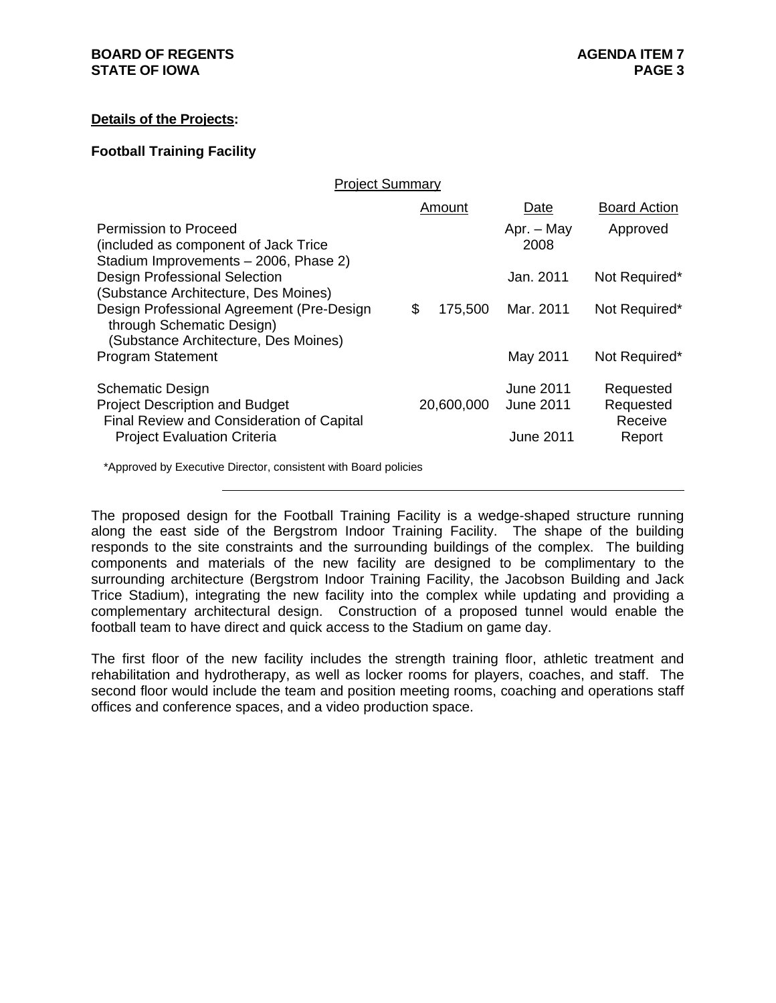## **Details of the Projects:**

## **Football Training Facility**

|                                                                                                                | Amount        | Date                                 | <b>Board Action</b>               |
|----------------------------------------------------------------------------------------------------------------|---------------|--------------------------------------|-----------------------------------|
| Permission to Proceed<br>(included as component of Jack Trice)<br>Stadium Improvements - 2006, Phase 2)        |               | Apr. - May<br>2008                   | Approved                          |
| Design Professional Selection<br>(Substance Architecture, Des Moines)                                          |               | Jan. 2011                            | Not Required*                     |
| Design Professional Agreement (Pre-Design<br>through Schematic Design)<br>(Substance Architecture, Des Moines) | \$<br>175,500 | Mar. 2011                            | Not Required*                     |
| <b>Program Statement</b>                                                                                       |               | May 2011                             | Not Required*                     |
| <b>Schematic Design</b><br><b>Project Description and Budget</b><br>Final Review and Consideration of Capital  | 20,600,000    | <b>June 2011</b><br><b>June 2011</b> | Requested<br>Requested<br>Receive |
| <b>Project Evaluation Criteria</b>                                                                             |               | <b>June 2011</b>                     | Report                            |
| *Approved by Executive Director, consistent with Board policies                                                |               |                                      |                                   |

Project Summary

The proposed design for the Football Training Facility is a wedge-shaped structure running along the east side of the Bergstrom Indoor Training Facility. The shape of the building responds to the site constraints and the surrounding buildings of the complex. The building components and materials of the new facility are designed to be complimentary to the surrounding architecture (Bergstrom Indoor Training Facility, the Jacobson Building and Jack Trice Stadium), integrating the new facility into the complex while updating and providing a complementary architectural design. Construction of a proposed tunnel would enable the football team to have direct and quick access to the Stadium on game day.

The first floor of the new facility includes the strength training floor, athletic treatment and rehabilitation and hydrotherapy, as well as locker rooms for players, coaches, and staff. The second floor would include the team and position meeting rooms, coaching and operations staff offices and conference spaces, and a video production space.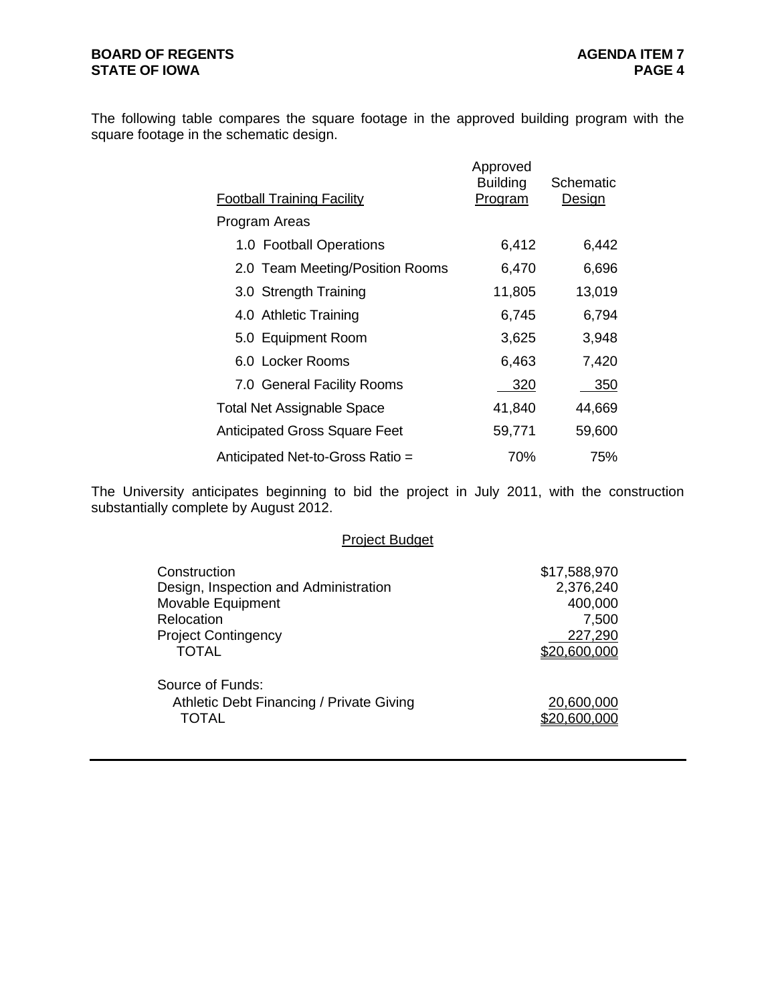The following table compares the square footage in the approved building program with the square footage in the schematic design.

| <b>Football Training Facility</b>    | Approved<br><b>Building</b><br><u>Program</u> | Schematic<br><b>Design</b> |
|--------------------------------------|-----------------------------------------------|----------------------------|
| Program Areas                        |                                               |                            |
| 1.0 Football Operations              | 6,412                                         | 6,442                      |
| 2.0 Team Meeting/Position Rooms      | 6,470                                         | 6,696                      |
| 3.0 Strength Training                | 11,805                                        | 13,019                     |
| 4.0 Athletic Training                | 6,745                                         | 6,794                      |
| 5.0 Equipment Room                   | 3,625                                         | 3,948                      |
| 6.0 Locker Rooms                     | 6,463                                         | 7,420                      |
| 7.0 General Facility Rooms           | 320                                           | 350                        |
| <b>Total Net Assignable Space</b>    | 41,840                                        | 44,669                     |
| <b>Anticipated Gross Square Feet</b> | 59,771                                        | 59,600                     |
| Anticipated Net-to-Gross Ratio =     | 70%                                           | 75%                        |

The University anticipates beginning to bid the project in July 2011, with the construction substantially complete by August 2012.

### Project Budget

| Construction                             | \$17,588,970 |
|------------------------------------------|--------------|
| Design, Inspection and Administration    | 2,376,240    |
| Movable Equipment                        | 400,000      |
| Relocation                               | 7,500        |
| <b>Project Contingency</b>               | 227,290      |
| <b>TOTAL</b>                             | \$20,600,000 |
| Source of Funds:                         |              |
| Athletic Debt Financing / Private Giving | 20,600,000   |
| TOTAL                                    | \$20,600,000 |
|                                          |              |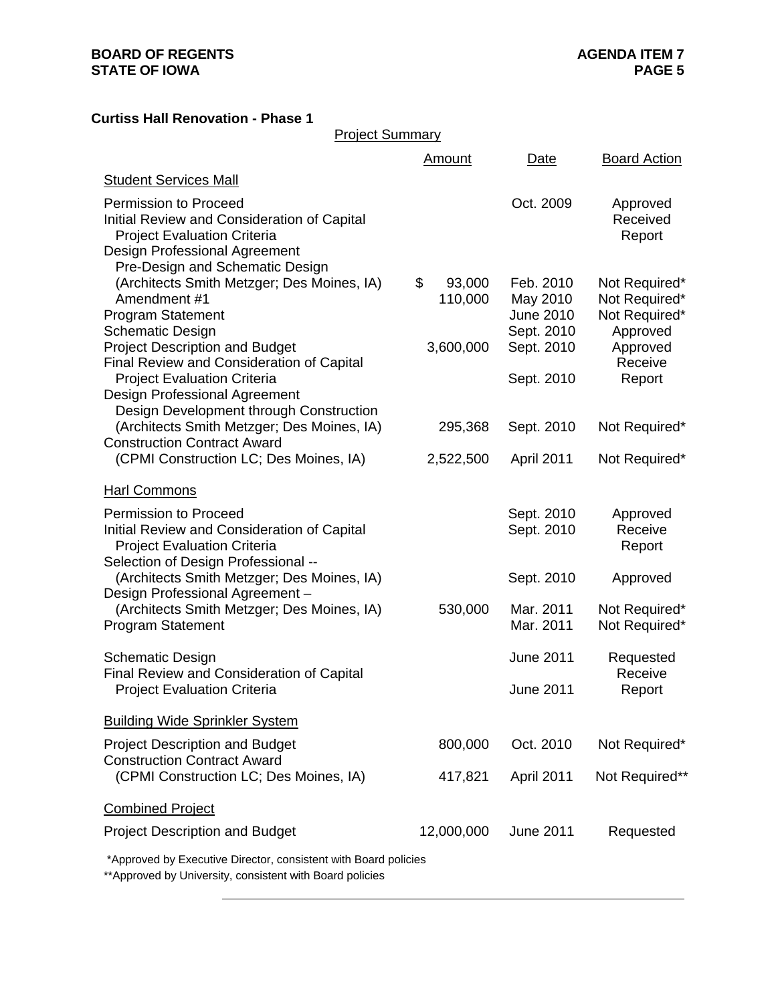# **Curtiss Hall Renovation - Phase 1**

| <b>Project Summary</b>                                                                                                                                              |                         |                                                  |                                                             |
|---------------------------------------------------------------------------------------------------------------------------------------------------------------------|-------------------------|--------------------------------------------------|-------------------------------------------------------------|
|                                                                                                                                                                     | <b>Amount</b>           | Date                                             | <b>Board Action</b>                                         |
| <b>Student Services Mall</b>                                                                                                                                        |                         |                                                  |                                                             |
| <b>Permission to Proceed</b><br>Initial Review and Consideration of Capital<br><b>Project Evaluation Criteria</b><br>Design Professional Agreement                  |                         | Oct. 2009                                        | Approved<br>Received<br>Report                              |
| Pre-Design and Schematic Design<br>(Architects Smith Metzger; Des Moines, IA)<br>Amendment #1<br><b>Program Statement</b><br><b>Schematic Design</b>                | \$<br>93,000<br>110,000 | Feb. 2010<br>May 2010<br>June 2010<br>Sept. 2010 | Not Required*<br>Not Required*<br>Not Required*<br>Approved |
| <b>Project Description and Budget</b><br>Final Review and Consideration of Capital<br><b>Project Evaluation Criteria</b>                                            | 3,600,000               | Sept. 2010<br>Sept. 2010                         | Approved<br>Receive<br>Report                               |
| <b>Design Professional Agreement</b><br>Design Development through Construction<br>(Architects Smith Metzger; Des Moines, IA)<br><b>Construction Contract Award</b> | 295,368                 | Sept. 2010                                       | Not Required*                                               |
| (CPMI Construction LC; Des Moines, IA)                                                                                                                              | 2,522,500               | April 2011                                       | Not Required*                                               |
| <b>Harl Commons</b>                                                                                                                                                 |                         |                                                  |                                                             |
| Permission to Proceed<br>Initial Review and Consideration of Capital<br><b>Project Evaluation Criteria</b><br>Selection of Design Professional --                   |                         | Sept. 2010<br>Sept. 2010                         | Approved<br>Receive<br>Report                               |
| (Architects Smith Metzger; Des Moines, IA)<br>Design Professional Agreement -                                                                                       |                         | Sept. 2010                                       | Approved                                                    |
| (Architects Smith Metzger; Des Moines, IA)<br><b>Program Statement</b>                                                                                              | 530,000                 | Mar. 2011<br>Mar. 2011                           | Not Required*<br>Not Required*                              |
| <b>Schematic Design</b><br><b>Final Review and Consideration of Capital</b>                                                                                         |                         | <b>June 2011</b>                                 | Requested<br>Receive                                        |
| <b>Project Evaluation Criteria</b>                                                                                                                                  |                         | <b>June 2011</b>                                 | Report                                                      |
| <b>Building Wide Sprinkler System</b>                                                                                                                               |                         |                                                  |                                                             |
| <b>Project Description and Budget</b><br><b>Construction Contract Award</b>                                                                                         | 800,000                 | Oct. 2010                                        | Not Required*                                               |
| (CPMI Construction LC; Des Moines, IA)                                                                                                                              | 417,821                 | <b>April 2011</b>                                | Not Required**                                              |
| <b>Combined Project</b>                                                                                                                                             |                         |                                                  |                                                             |
| <b>Project Description and Budget</b>                                                                                                                               | 12,000,000              | <b>June 2011</b>                                 | Requested                                                   |

\*Approved by Executive Director, consistent with Board policies

\*\*Approved by University, consistent with Board policies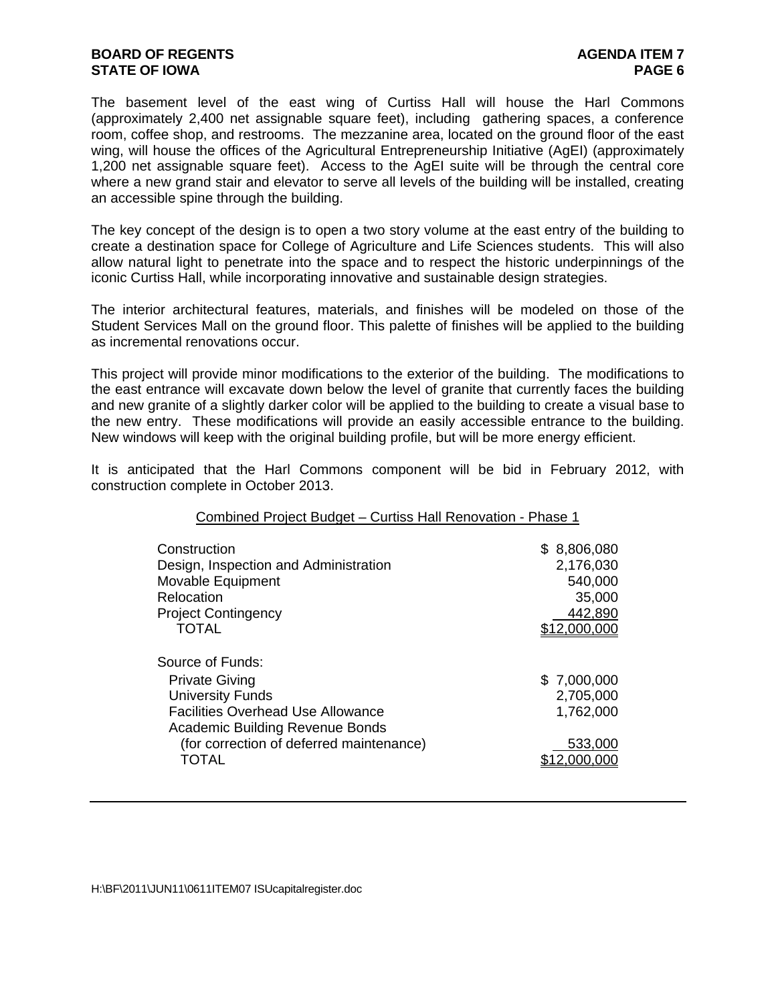## **BOARD OF REGENTS AGENTS** AGENDA ITEM 7 **STATE OF IOWA PAGE 6**

The basement level of the east wing of Curtiss Hall will house the Harl Commons (approximately 2,400 net assignable square feet), including gathering spaces, a conference room, coffee shop, and restrooms. The mezzanine area, located on the ground floor of the east wing, will house the offices of the Agricultural Entrepreneurship Initiative (AgEI) (approximately 1,200 net assignable square feet). Access to the AgEI suite will be through the central core where a new grand stair and elevator to serve all levels of the building will be installed, creating an accessible spine through the building.

The key concept of the design is to open a two story volume at the east entry of the building to create a destination space for College of Agriculture and Life Sciences students. This will also allow natural light to penetrate into the space and to respect the historic underpinnings of the iconic Curtiss Hall, while incorporating innovative and sustainable design strategies.

The interior architectural features, materials, and finishes will be modeled on those of the Student Services Mall on the ground floor. This palette of finishes will be applied to the building as incremental renovations occur.

This project will provide minor modifications to the exterior of the building. The modifications to the east entrance will excavate down below the level of granite that currently faces the building and new granite of a slightly darker color will be applied to the building to create a visual base to the new entry. These modifications will provide an easily accessible entrance to the building. New windows will keep with the original building profile, but will be more energy efficient.

It is anticipated that the Harl Commons component will be bid in February 2012, with construction complete in October 2013.

| Construction<br>Design, Inspection and Administration<br>Movable Equipment<br>Relocation<br><b>Project Contingency</b><br><b>TOTAL</b>                                                                          | \$8,806,080<br>2,176,030<br>540,000<br>35,000<br>442,890<br>2,000,000 |
|-----------------------------------------------------------------------------------------------------------------------------------------------------------------------------------------------------------------|-----------------------------------------------------------------------|
| Source of Funds:<br><b>Private Giving</b><br><b>University Funds</b><br><b>Facilities Overhead Use Allowance</b><br><b>Academic Building Revenue Bonds</b><br>(for correction of deferred maintenance)<br>TOTAL | \$7,000,000<br>2,705,000<br>1,762,000<br>533,000                      |

Combined Project Budget – Curtiss Hall Renovation - Phase 1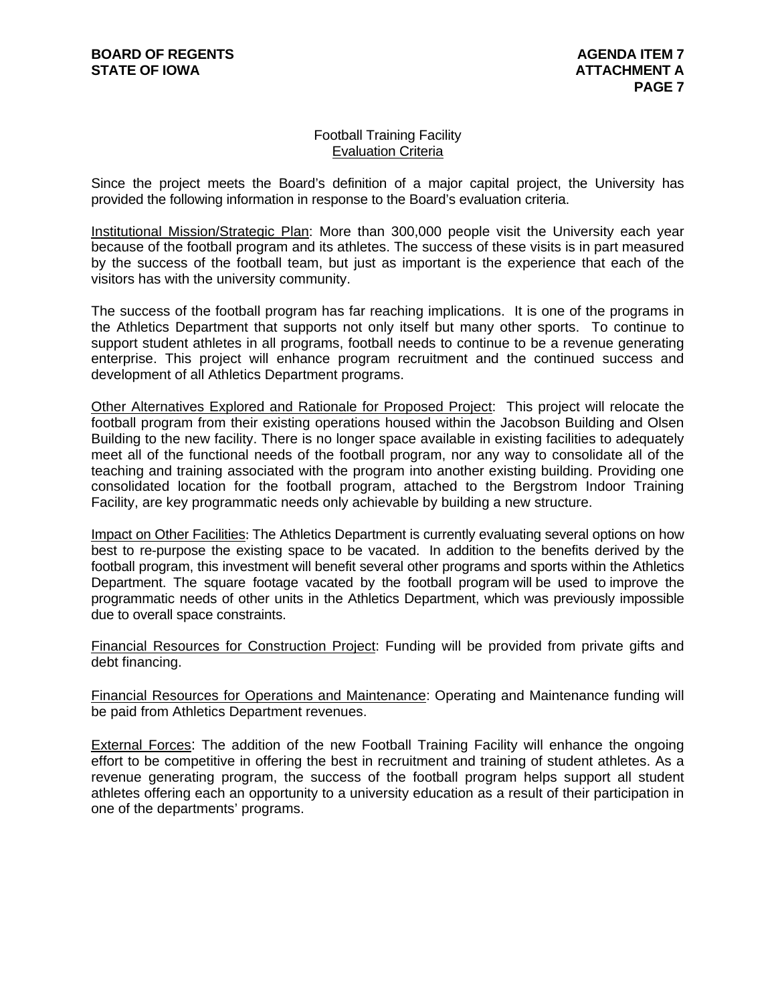#### Football Training Facility Evaluation Criteria

Since the project meets the Board's definition of a major capital project, the University has provided the following information in response to the Board's evaluation criteria.

Institutional Mission/Strategic Plan: More than 300,000 people visit the University each year because of the football program and its athletes. The success of these visits is in part measured by the success of the football team, but just as important is the experience that each of the visitors has with the university community.

The success of the football program has far reaching implications. It is one of the programs in the Athletics Department that supports not only itself but many other sports. To continue to support student athletes in all programs, football needs to continue to be a revenue generating enterprise. This project will enhance program recruitment and the continued success and development of all Athletics Department programs.

Other Alternatives Explored and Rationale for Proposed Project: This project will relocate the football program from their existing operations housed within the Jacobson Building and Olsen Building to the new facility. There is no longer space available in existing facilities to adequately meet all of the functional needs of the football program, nor any way to consolidate all of the teaching and training associated with the program into another existing building. Providing one consolidated location for the football program, attached to the Bergstrom Indoor Training Facility, are key programmatic needs only achievable by building a new structure.

Impact on Other Facilities: The Athletics Department is currently evaluating several options on how best to re-purpose the existing space to be vacated. In addition to the benefits derived by the football program, this investment will benefit several other programs and sports within the Athletics Department. The square footage vacated by the football program will be used to improve the programmatic needs of other units in the Athletics Department, which was previously impossible due to overall space constraints.

Financial Resources for Construction Project: Funding will be provided from private gifts and debt financing.

Financial Resources for Operations and Maintenance: Operating and Maintenance funding will be paid from Athletics Department revenues.

External Forces: The addition of the new Football Training Facility will enhance the ongoing effort to be competitive in offering the best in recruitment and training of student athletes. As a revenue generating program, the success of the football program helps support all student athletes offering each an opportunity to a university education as a result of their participation in one of the departments' programs.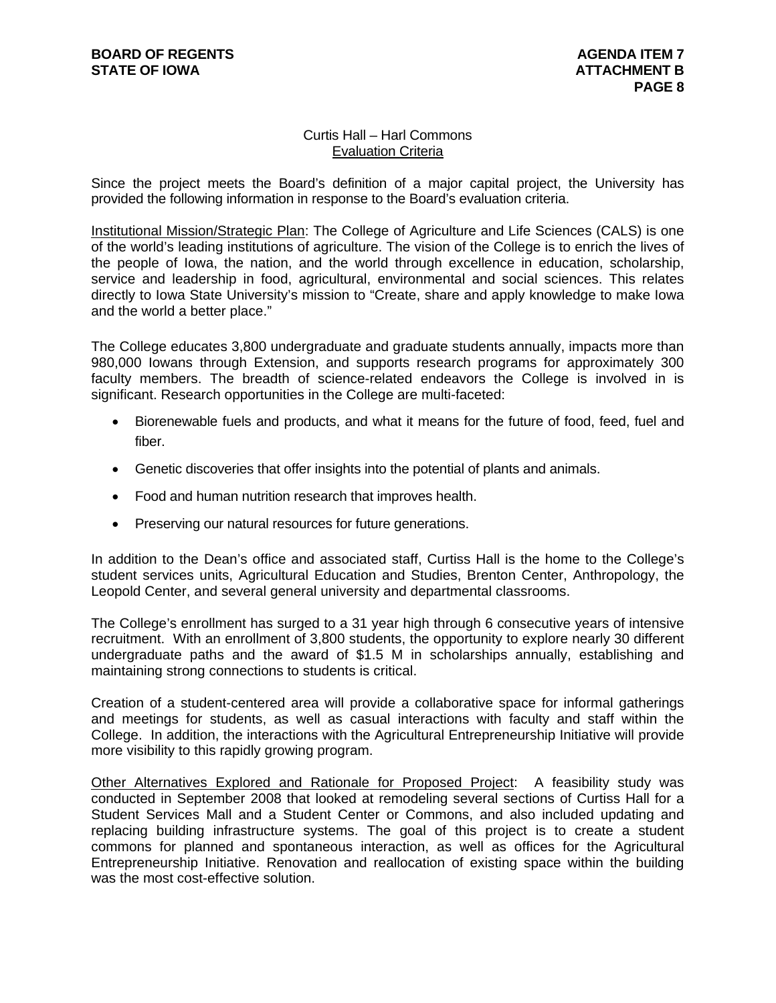## Curtis Hall – Harl Commons Evaluation Criteria

Since the project meets the Board's definition of a major capital project, the University has provided the following information in response to the Board's evaluation criteria.

Institutional Mission/Strategic Plan: The College of Agriculture and Life Sciences (CALS) is one of the world's leading institutions of agriculture. The vision of the College is to enrich the lives of the people of Iowa, the nation, and the world through excellence in education, scholarship, service and leadership in food, agricultural, environmental and social sciences. This relates directly to Iowa State University's mission to "Create, share and apply knowledge to make Iowa and the world a better place."

The College educates 3,800 undergraduate and graduate students annually, impacts more than 980,000 Iowans through Extension, and supports research programs for approximately 300 faculty members. The breadth of science-related endeavors the College is involved in is significant. Research opportunities in the College are multi-faceted:

- Biorenewable fuels and products, and what it means for the future of food, feed, fuel and fiber.
- Genetic discoveries that offer insights into the potential of plants and animals.
- Food and human nutrition research that improves health.
- Preserving our natural resources for future generations.

In addition to the Dean's office and associated staff, Curtiss Hall is the home to the College's student services units, Agricultural Education and Studies, Brenton Center, Anthropology, the Leopold Center, and several general university and departmental classrooms.

The College's enrollment has surged to a 31 year high through 6 consecutive years of intensive recruitment. With an enrollment of 3,800 students, the opportunity to explore nearly 30 different undergraduate paths and the award of \$1.5 M in scholarships annually, establishing and maintaining strong connections to students is critical.

Creation of a student-centered area will provide a collaborative space for informal gatherings and meetings for students, as well as casual interactions with faculty and staff within the College. In addition, the interactions with the Agricultural Entrepreneurship Initiative will provide more visibility to this rapidly growing program.

Other Alternatives Explored and Rationale for Proposed Project: A feasibility study was conducted in September 2008 that looked at remodeling several sections of Curtiss Hall for a Student Services Mall and a Student Center or Commons, and also included updating and replacing building infrastructure systems. The goal of this project is to create a student commons for planned and spontaneous interaction, as well as offices for the Agricultural Entrepreneurship Initiative. Renovation and reallocation of existing space within the building was the most cost-effective solution.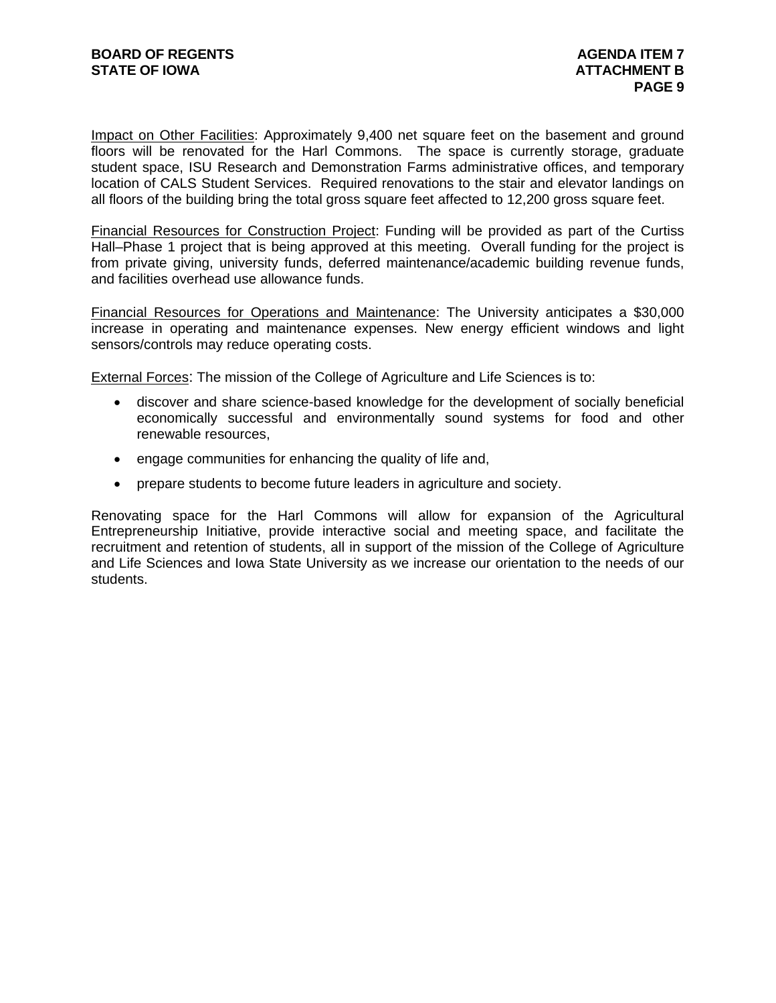Impact on Other Facilities: Approximately 9,400 net square feet on the basement and ground floors will be renovated for the Harl Commons. The space is currently storage, graduate student space, ISU Research and Demonstration Farms administrative offices, and temporary location of CALS Student Services. Required renovations to the stair and elevator landings on all floors of the building bring the total gross square feet affected to 12,200 gross square feet.

Financial Resources for Construction Project: Funding will be provided as part of the Curtiss Hall–Phase 1 project that is being approved at this meeting. Overall funding for the project is from private giving, university funds, deferred maintenance/academic building revenue funds, and facilities overhead use allowance funds.

Financial Resources for Operations and Maintenance: The University anticipates a \$30,000 increase in operating and maintenance expenses. New energy efficient windows and light sensors/controls may reduce operating costs.

External Forces: The mission of the College of Agriculture and Life Sciences is to:

- discover and share science-based knowledge for the development of socially beneficial economically successful and environmentally sound systems for food and other renewable resources,
- engage communities for enhancing the quality of life and,
- prepare students to become future leaders in agriculture and society.

Renovating space for the Harl Commons will allow for expansion of the Agricultural Entrepreneurship Initiative, provide interactive social and meeting space, and facilitate the recruitment and retention of students, all in support of the mission of the College of Agriculture and Life Sciences and Iowa State University as we increase our orientation to the needs of our students.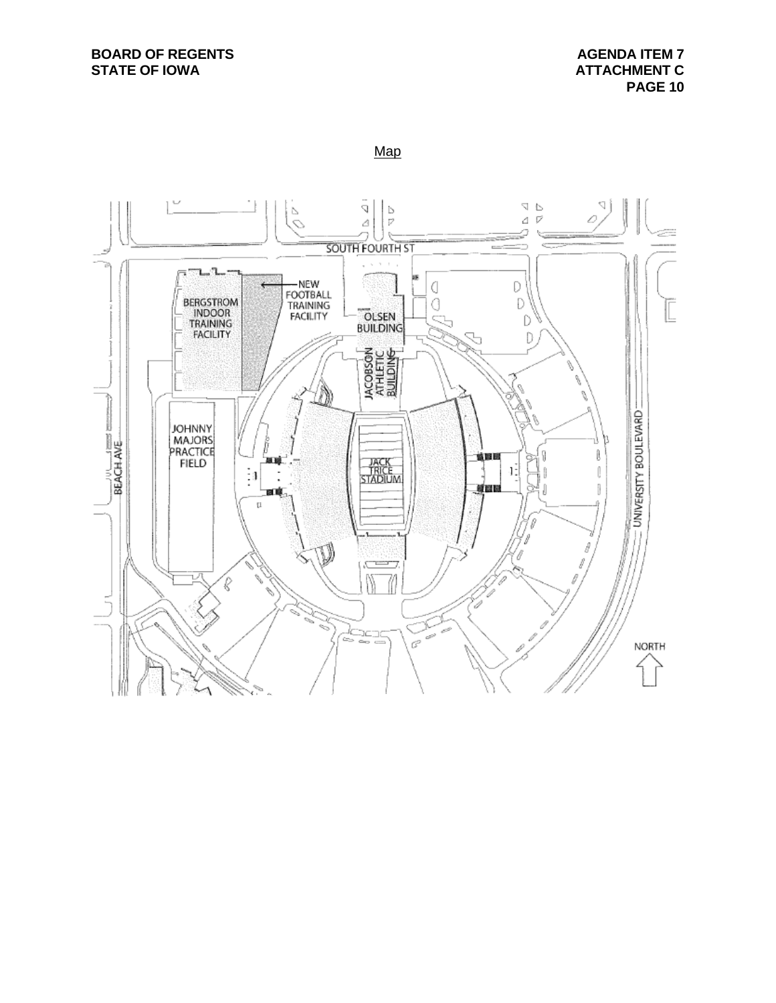#### Map

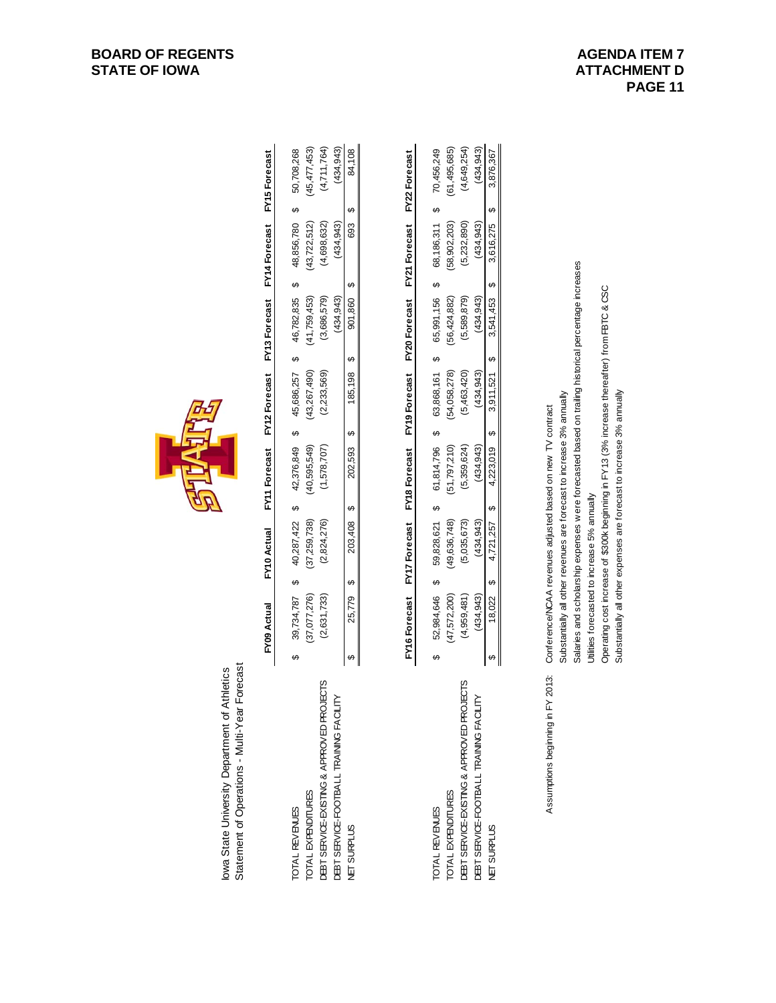| Statement of Operations - Multi-Year Forecast<br>lowa State University Department of Athletics                                             |   |                                                                                                                                                                                                                       |   |                                                         |   |                                                           |   |                                                         |   |                                                           |   |                                                           |   |                                                             |
|--------------------------------------------------------------------------------------------------------------------------------------------|---|-----------------------------------------------------------------------------------------------------------------------------------------------------------------------------------------------------------------------|---|---------------------------------------------------------|---|-----------------------------------------------------------|---|---------------------------------------------------------|---|-----------------------------------------------------------|---|-----------------------------------------------------------|---|-------------------------------------------------------------|
|                                                                                                                                            |   | FY09 Actual                                                                                                                                                                                                           |   | FY10 Actual                                             |   | FY11 Forecast                                             |   | FY12 Forecast                                           |   | <b>FY13 Forecast</b>                                      |   | FY14 Forecast                                             |   | <b>FY15</b> Forecast                                        |
| DEBT SERVICE-EXISTING & APPROVED PROJECTS<br>DEBT SERVICE-FOOTBALL TRAINING FACILITY<br>TOTAL EXPENDITURES<br><b>OTAL REVENUES</b>         | ↮ | (2,631,733)<br>(37,077,276)<br>39,734,787                                                                                                                                                                             | ക | (2,824,276)<br>(37, 259, 738)<br>40,287,422             | ↔ | (40,595,549)<br>(1,578,707)<br>42,376,849                 | ↮ | (43, 267, 490)<br>(2,233,569)<br>45,686,257             | ↮ | 46,782,835<br>(41, 759, 453)<br>(3,686,579)<br>(434, 943) | ക | (4,698,632)<br>(434, 943)<br>48,856,780<br>(43, 722, 512) | ↔ | (4, 711, 764)<br>(45, 477, 453)<br>(434, 943)<br>50,708,268 |
| <b>NET SURPLUS</b>                                                                                                                         | ↮ | 25,779                                                                                                                                                                                                                | ↮ | 203,408                                                 | ↮ | 202,593                                                   | ↔ | 185,198                                                 | ↔ | 901,860                                                   | ↮ | 693                                                       | ↔ | 84,108                                                      |
|                                                                                                                                            |   | <b>FY16</b> Forecast                                                                                                                                                                                                  |   | <b>FY17</b> Forecast                                    |   | FY18 Forecast                                             |   | FY19 Forecast                                           |   | <b>FY20 Forecast</b>                                      |   | <b>FY21 Forecast</b>                                      |   | FY22 Forecast                                               |
| DEBT SERVICE-EXISTING & APPROVED PROJECTS<br>DEBT SERVICE-FOOTBALL TRAINING FACILITY<br><b>TOTAL EXPENDITURES</b><br><b>TOTAL REVENUES</b> | ↮ | (47,572,200)<br>(4,959,481)<br>(434, 943)<br>52,984,646                                                                                                                                                               | ↮ | (49,636,748)<br>(5,035,673)<br>(434, 943)<br>59,828,621 | ↔ | (51, 797, 210)<br>61,814,796<br>(5,359,624)<br>(434, 943) | ↮ | (54,058,278)<br>(5,463,420)<br>(434, 943)<br>63,868,161 | ↮ | (56, 424, 882)<br>(5,589,879)<br>65,991,156<br>(434, 943) | ↔ | (58, 902, 203)<br>(5,232,890)<br>(434, 943)<br>68,186,311 | ↮ | (4, 649, 254)<br>(61, 495, 685)<br>(434, 943)<br>70,456,249 |
| <b>VET SURPLUS</b>                                                                                                                         | ↮ | 18,022                                                                                                                                                                                                                | ക | 4,721,257                                               | ↔ | 4,223,019                                                 | ↔ | 3,911,521                                               | ↔ | 3,541,453                                                 | ↮ | 3,616,275                                                 | ↔ | 3,876,367                                                   |
| FY 2013:<br>Assumptions beginning in                                                                                                       |   | Conference/NCAA revenues adjusted based on new TV contract                                                                                                                                                            |   |                                                         |   |                                                           |   |                                                         |   |                                                           |   |                                                           |   |                                                             |
|                                                                                                                                            |   | Salaries and scholarship expenses were forecasted based on trailing historical percentage increases<br>Substantially all other revenues are forecast to increase 3% annually                                          |   |                                                         |   |                                                           |   |                                                         |   |                                                           |   |                                                           |   |                                                             |
|                                                                                                                                            |   | Operating cost increase of \$300k beginning in FY13 (3% increase thereafter) from FBTC & CSC<br>Substantially all other expenses are forecast to increase 3% annually<br>Utilities forecasted to increase 5% annually |   |                                                         |   |                                                           |   |                                                         |   |                                                           |   |                                                           |   |                                                             |

| ptions beginning in FY 2013: Conference/NCAA revenues adjusted based on new TV contract | dubstantially all other revenues are forecast to increase 3% annually | Salaries and scholarship expenses were forecasted based on trailing historical percentage increases | Milties forecasted to increase 5% annually |  |
|-----------------------------------------------------------------------------------------|-----------------------------------------------------------------------|-----------------------------------------------------------------------------------------------------|--------------------------------------------|--|
|                                                                                         |                                                                       |                                                                                                     |                                            |  |
|                                                                                         |                                                                       |                                                                                                     |                                            |  |